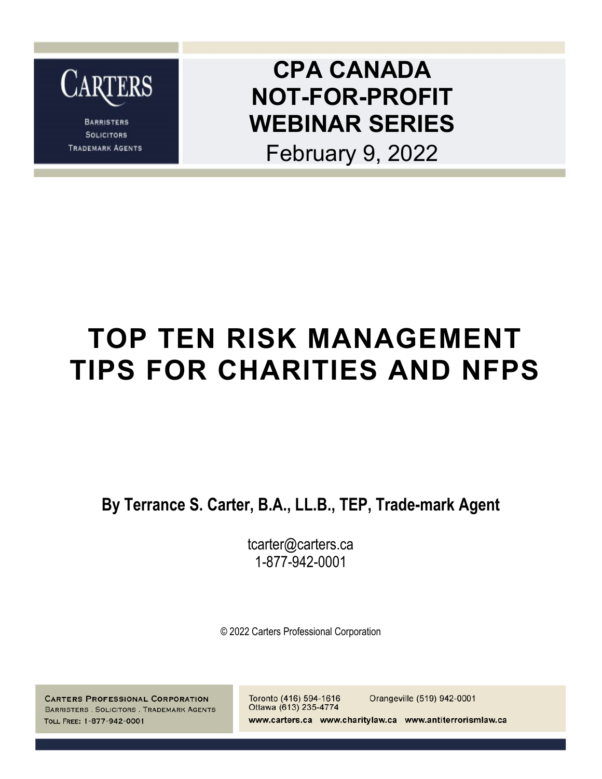

**BARRISTERS SOLICITORS TRADEMARK AGENTS** 

### **CPA CANADA NOT-FOR-PROFIT WEBINAR SERIES**

February 9, 2022

## **TOP TEN RISK MANAGEMENT TIPS FOR CHARITIES AND NFPS**

**By Terrance S. Carter, B.A., LL.B., TEP, Trade-mark Agent**

tcarter@carters.ca 1-877-942-0001

© 2022 Carters Professional Corporation

**CARTERS PROFESSIONAL CORPORATION** BARRISTERS . SOLICITORS . TRADEMARK AGENTS TOLL FREE: 1-877-942-0001

Toronto (416) 594-1616 Orangeville (519) 942-0001 Ottawa (613) 235-4774 www.carters.ca www.charitylaw.ca www.antiterrorismlaw.ca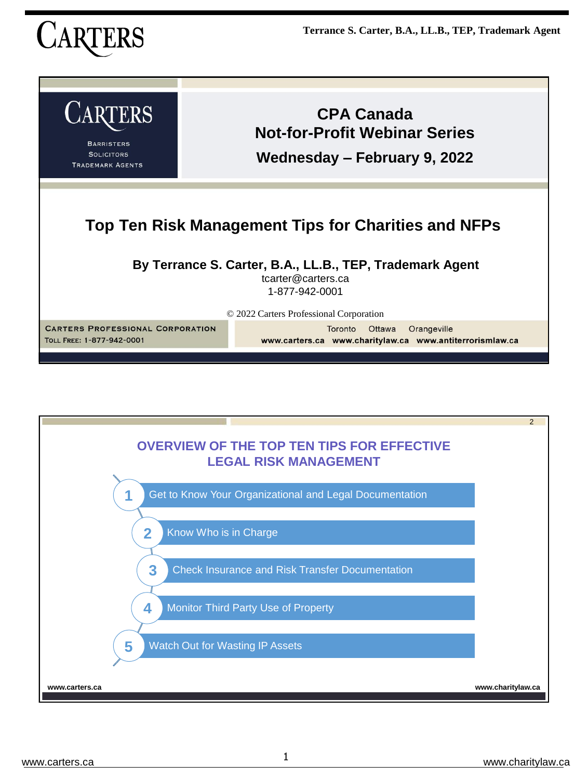

| <b>CARTERS</b><br><b>BARRISTERS</b><br><b>SOLICITORS</b><br><b>TRADEMARK AGENTS</b>                                                                                                                             | <b>CPA Canada</b><br><b>Not-for-Profit Webinar Series</b><br>Wednesday – February 9, 2022 |  |
|-----------------------------------------------------------------------------------------------------------------------------------------------------------------------------------------------------------------|-------------------------------------------------------------------------------------------|--|
| Top Ten Risk Management Tips for Charities and NFPs                                                                                                                                                             |                                                                                           |  |
| By Terrance S. Carter, B.A., LL.B., TEP, Trademark Agent<br>tcarter@carters.ca<br>1-877-942-0001                                                                                                                |                                                                                           |  |
| © 2022 Carters Professional Corporation<br><b>CARTERS PROFESSIONAL CORPORATION</b><br>Toronto<br>Ottawa<br>Orangeville<br>TOLL FREE: 1-877-942-0001<br>www.carters.ca www.charitylaw.ca www.antiterrorismlaw.ca |                                                                                           |  |

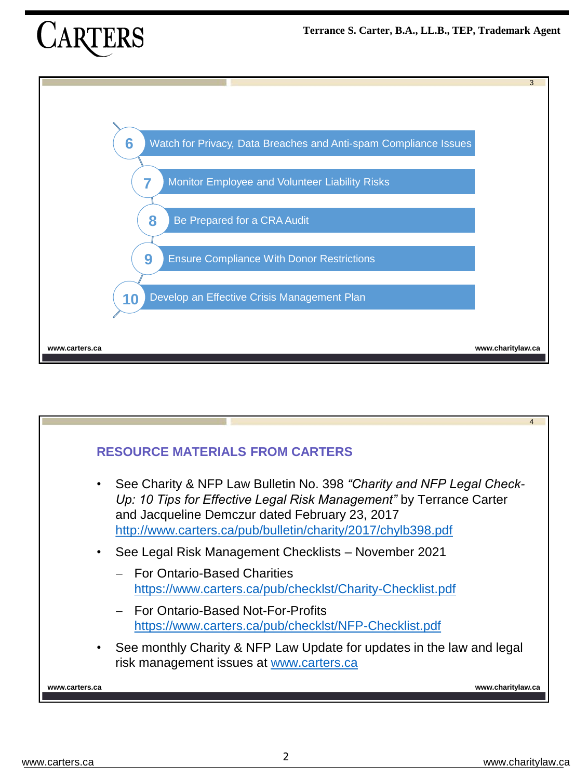



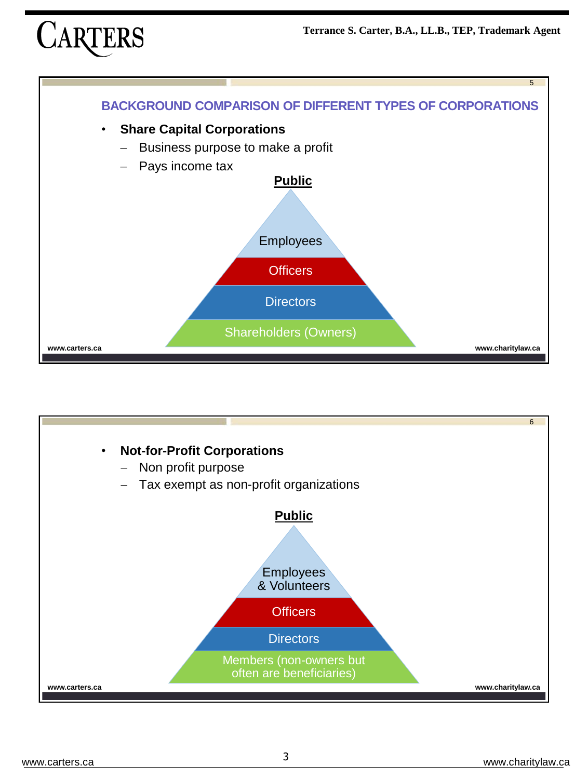



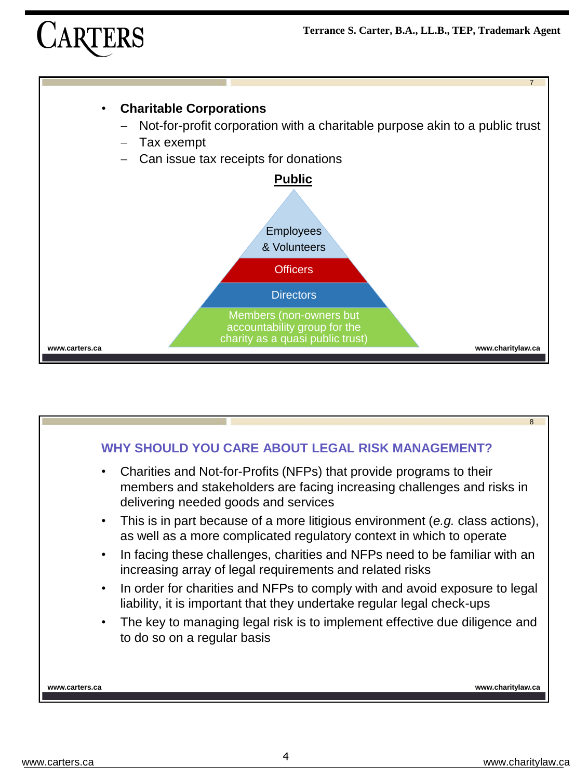



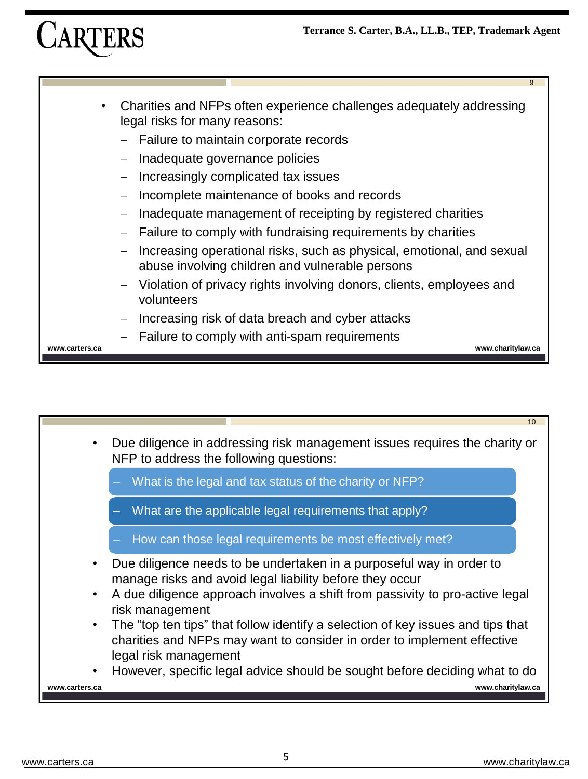

- Charities and NFPs often experience challenges adequately addressing legal risks for many reasons:
	- − Failure to maintain corporate records
	- − Inadequate governance policies
	- Increasingly complicated tax issues
	- − Incomplete maintenance of books and records
	- Inadequate management of receipting by registered charities
	- Failure to comply with fundraising requirements by charities
	- − Increasing operational risks, such as physical, emotional, and sexual abuse involving children and vulnerable persons
	- − Violation of privacy rights involving donors, clients, employees and volunteers
	- Increasing risk of data breach and cyber attacks
	- Failure to comply with anti-spam requirements

**www.carters.ca www.charitylaw.ca**

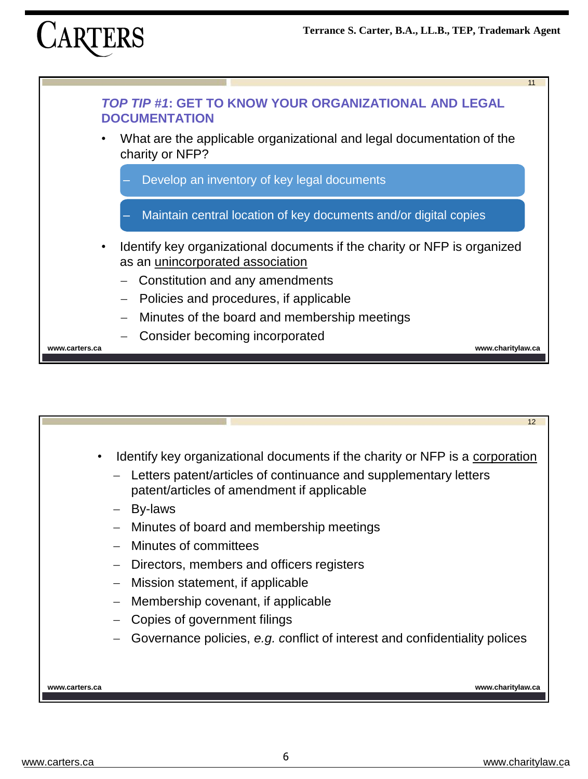





− Governance policies, *e.g. c*onflict of interest and confidentiality polices

**www.carters.ca www.charitylaw.ca**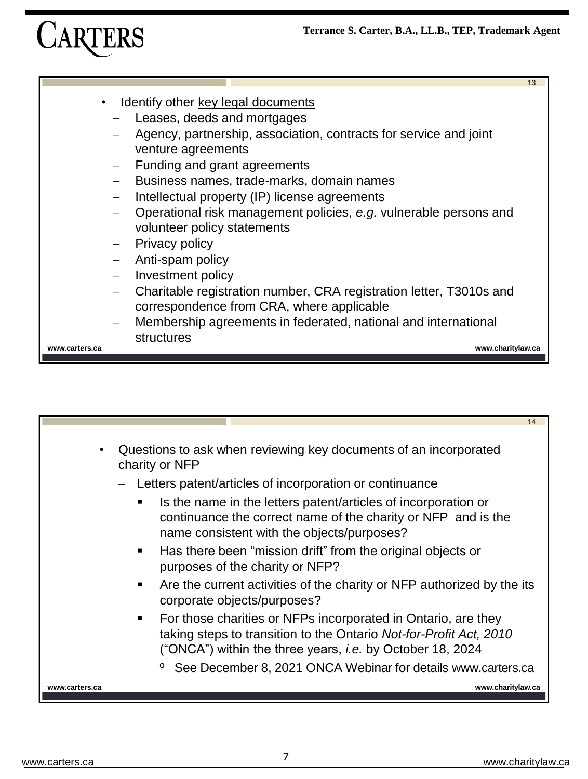

- Identify other key legal documents
	- Leases, deeds and mortgages
	- Agency, partnership, association, contracts for service and joint venture agreements
	- Funding and grant agreements
	- − Business names, trade-marks, domain names
	- Intellectual property (IP) license agreements
	- − Operational risk management policies, *e.g.* vulnerable persons and volunteer policy statements
	- Privacy policy
	- − Anti-spam policy
	- − Investment policy
	- − Charitable registration number, CRA registration letter, T3010s and correspondence from CRA, where applicable
	- − Membership agreements in federated, national and international structures

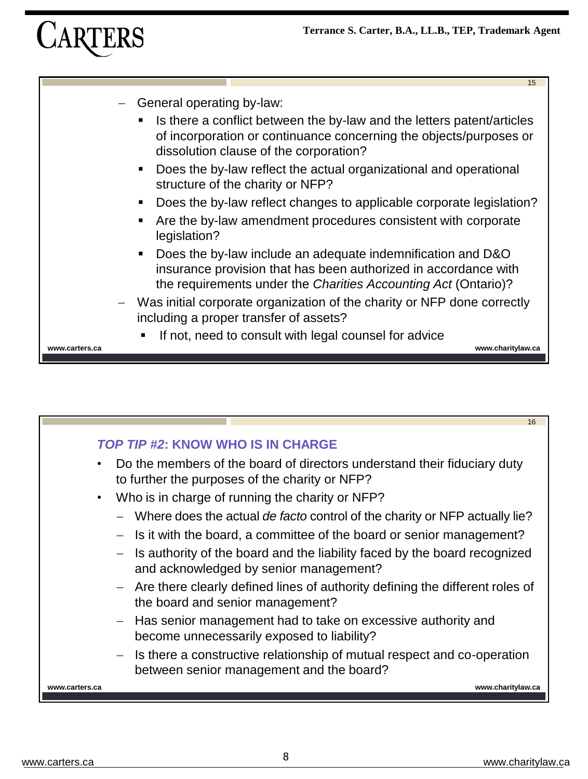



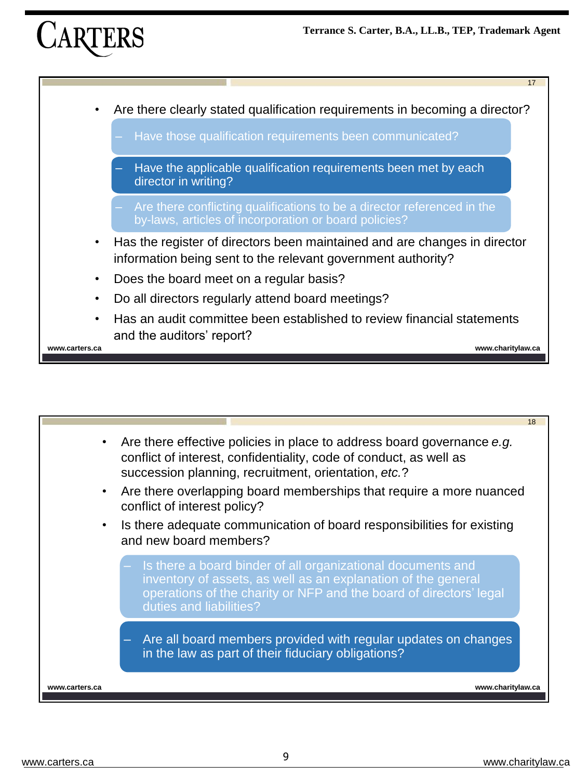



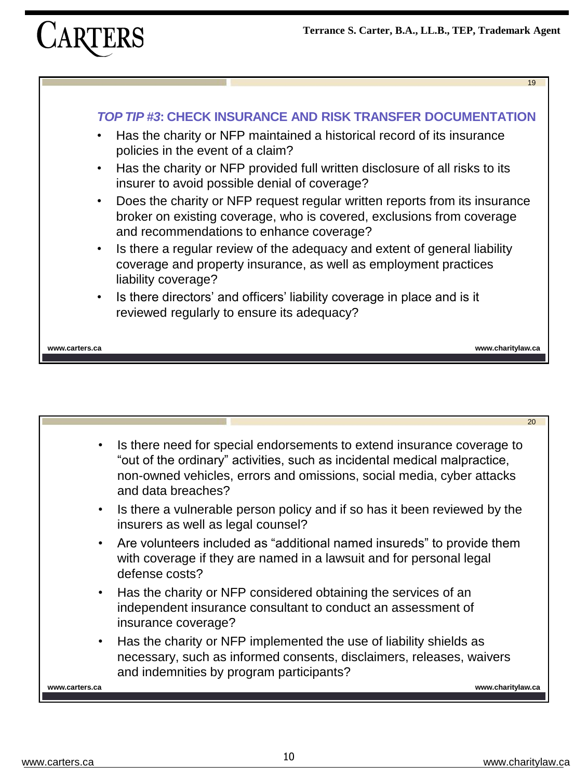



|                | 20                                                                                                                                                                                                                                                 |
|----------------|----------------------------------------------------------------------------------------------------------------------------------------------------------------------------------------------------------------------------------------------------|
|                | Is there need for special endorsements to extend insurance coverage to<br>"out of the ordinary" activities, such as incidental medical malpractice,<br>non-owned vehicles, errors and omissions, social media, cyber attacks<br>and data breaches? |
|                | • Is there a vulnerable person policy and if so has it been reviewed by the<br>insurers as well as legal counsel?                                                                                                                                  |
|                | • Are volunteers included as "additional named insureds" to provide them<br>with coverage if they are named in a lawsuit and for personal legal<br>defense costs?                                                                                  |
|                | • Has the charity or NFP considered obtaining the services of an<br>independent insurance consultant to conduct an assessment of<br>insurance coverage?                                                                                            |
| $\bullet$      | Has the charity or NFP implemented the use of liability shields as<br>necessary, such as informed consents, disclaimers, releases, waivers<br>and indemnities by program participants?                                                             |
| www.carters.ca | www.charitylaw.ca                                                                                                                                                                                                                                  |
|                |                                                                                                                                                                                                                                                    |
|                |                                                                                                                                                                                                                                                    |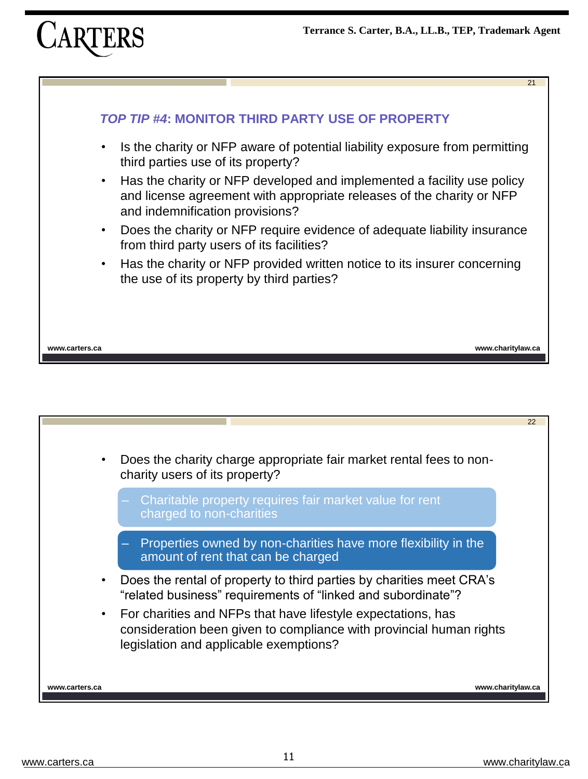



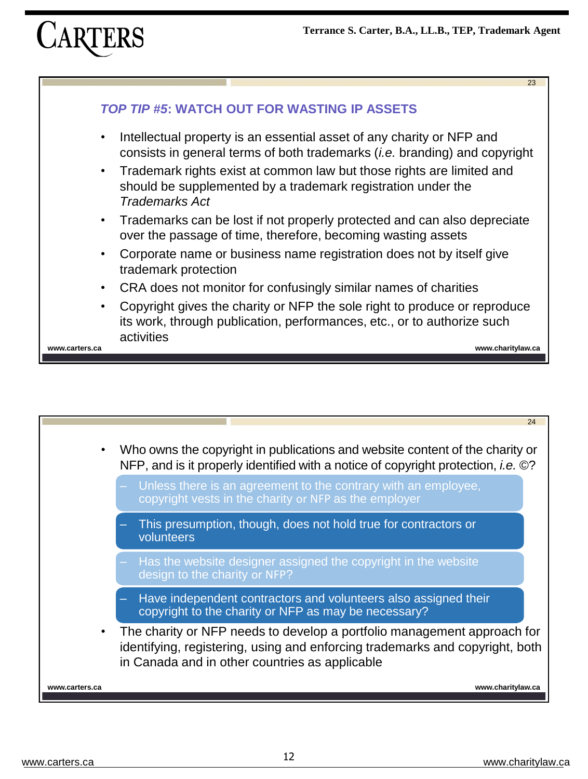



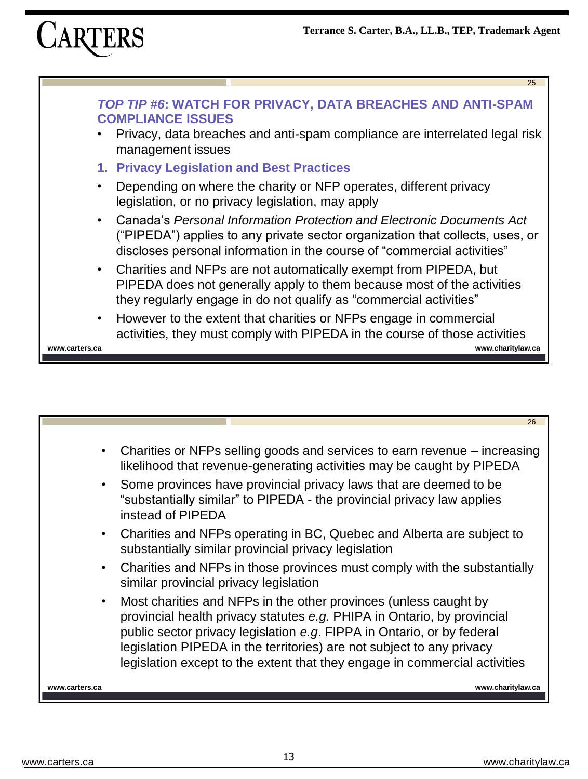



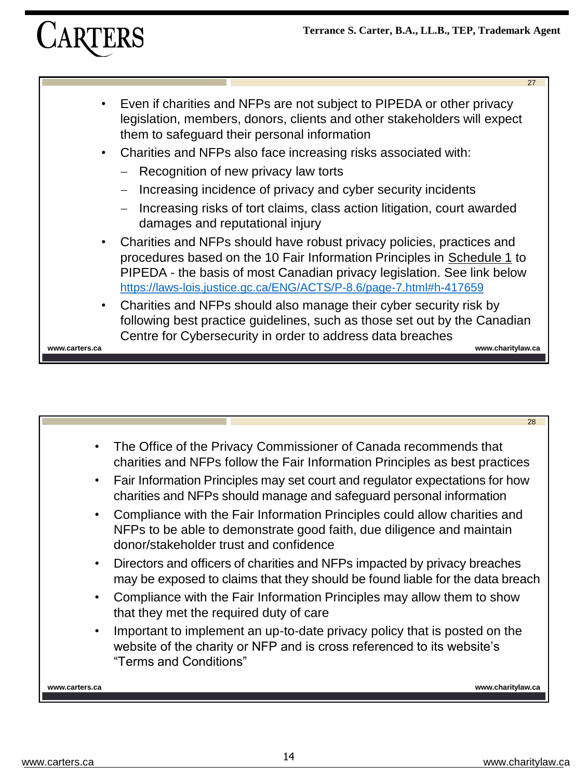# **CARTERS**



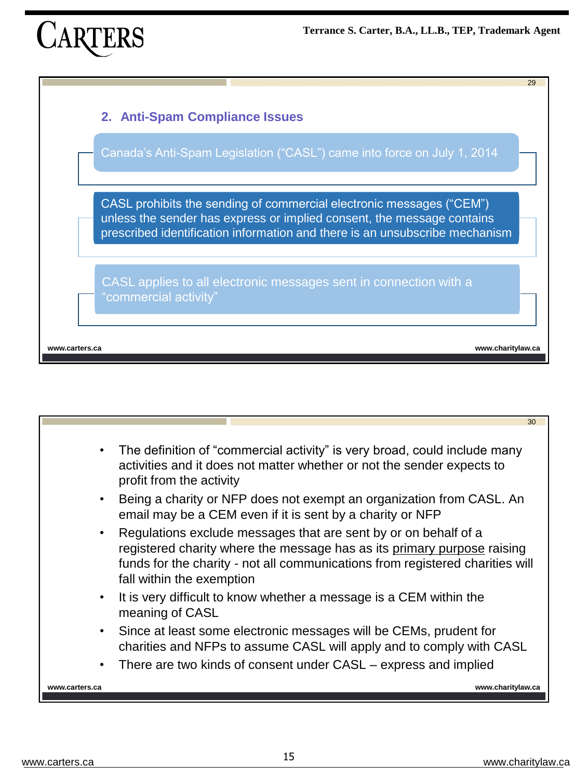



|                | 30                                                                                                                                                                                                                                                       |
|----------------|----------------------------------------------------------------------------------------------------------------------------------------------------------------------------------------------------------------------------------------------------------|
|                |                                                                                                                                                                                                                                                          |
| $\bullet$      | The definition of "commercial activity" is very broad, could include many<br>activities and it does not matter whether or not the sender expects to<br>profit from the activity                                                                          |
|                | Being a charity or NFP does not exempt an organization from CASL. An<br>email may be a CEM even if it is sent by a charity or NFP                                                                                                                        |
|                | Regulations exclude messages that are sent by or on behalf of a<br>registered charity where the message has as its primary purpose raising<br>funds for the charity - not all communications from registered charities will<br>fall within the exemption |
|                | It is very difficult to know whether a message is a CEM within the<br>meaning of CASL                                                                                                                                                                    |
| $\bullet$      | Since at least some electronic messages will be CEMs, prudent for<br>charities and NFPs to assume CASL will apply and to comply with CASL                                                                                                                |
|                | There are two kinds of consent under CASL – express and implied                                                                                                                                                                                          |
| www.carters.ca | www.charitylaw.ca                                                                                                                                                                                                                                        |
|                |                                                                                                                                                                                                                                                          |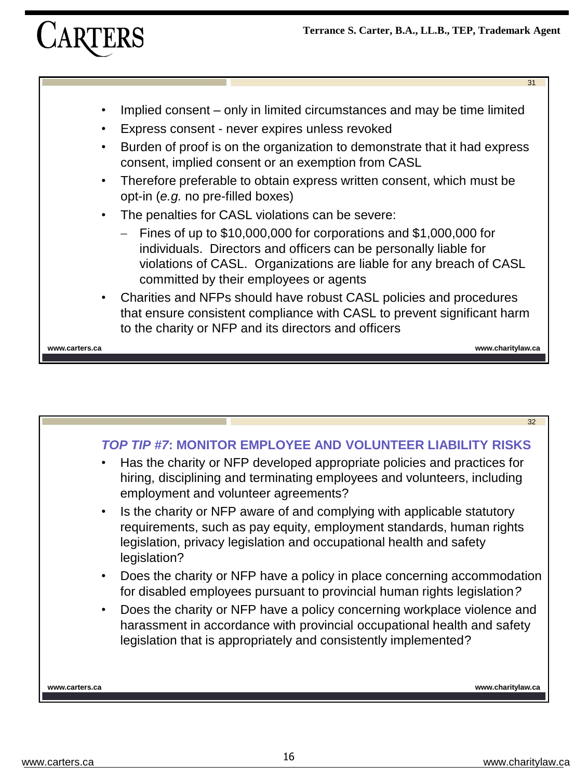

- Implied consent only in limited circumstances and may be time limited
- Express consent never expires unless revoked
- Burden of proof is on the organization to demonstrate that it had express consent, implied consent or an exemption from CASL
- Therefore preferable to obtain express written consent, which must be opt-in (*e.g.* no pre-filled boxes)
- The penalties for CASL violations can be severe:
	- − Fines of up to \$10,000,000 for corporations and \$1,000,000 for individuals. Directors and officers can be personally liable for violations of CASL. Organizations are liable for any breach of CASL committed by their employees or agents
- Charities and NFPs should have robust CASL policies and procedures that ensure consistent compliance with CASL to prevent significant harm to the charity or NFP and its directors and officers

**www.carters.ca www.charitylaw.ca**

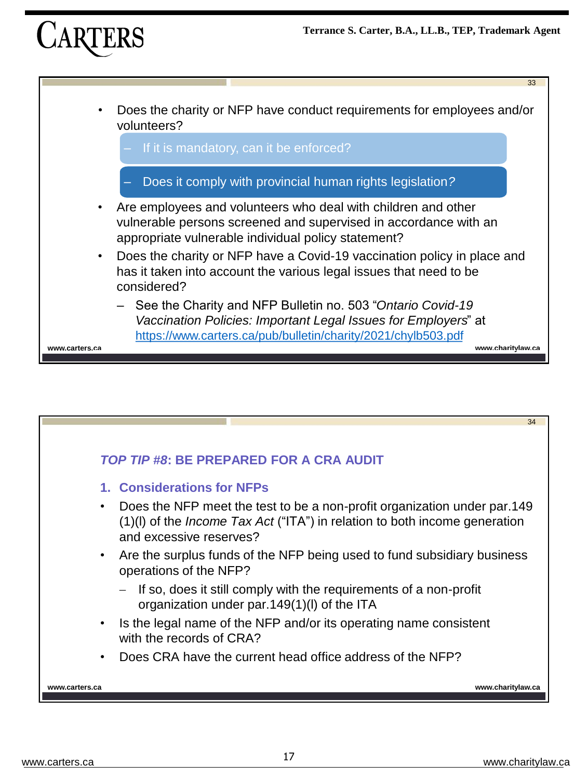



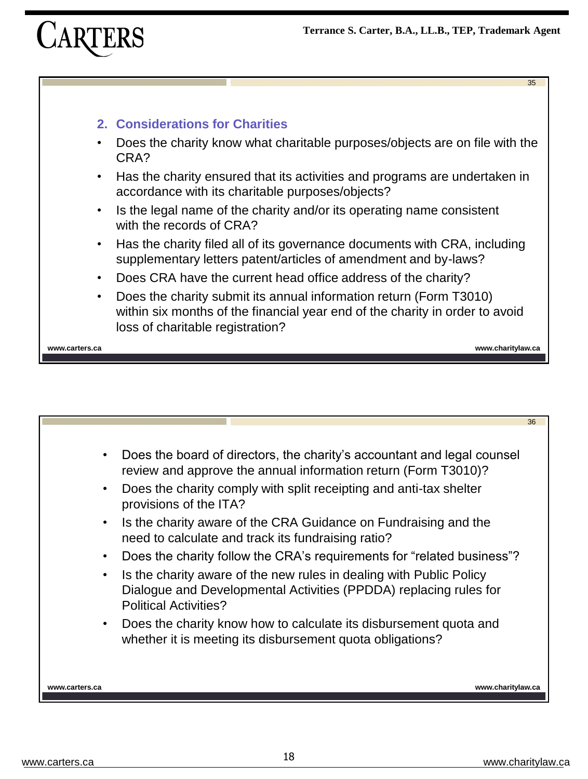

#### **2. Considerations for Charities**

- Does the charity know what charitable purposes/objects are on file with the CRA?
- Has the charity ensured that its activities and programs are undertaken in accordance with its charitable purposes/objects?
- Is the legal name of the charity and/or its operating name consistent with the records of CRA?
- Has the charity filed all of its governance documents with CRA, including supplementary letters patent/articles of amendment and by-laws?
- Does CRA have the current head office address of the charity?
- Does the charity submit its annual information return (Form T3010) within six months of the financial year end of the charity in order to avoid loss of charitable registration?

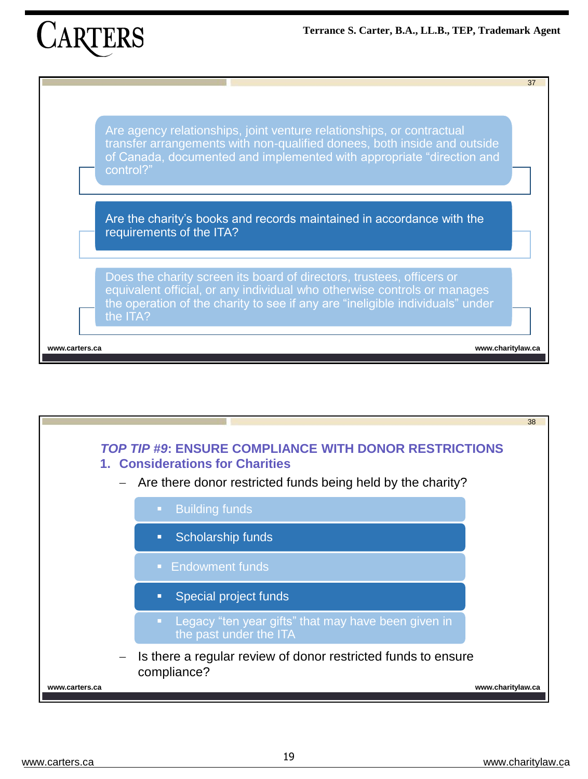

Are agency relationships, joint venture relationships, or contractual transfer arrangements with non-qualified donees, both inside and outside of Canada, documented and implemented with appropriate "direction and control?"

Are the charity's books and records maintained in accordance with the requirements of the ITA?

Does the charity screen its board of directors, trustees, officers or equivalent official, or any individual who otherwise controls or manages the operation of the charity to see if any are "ineligible individuals" under the ITA?

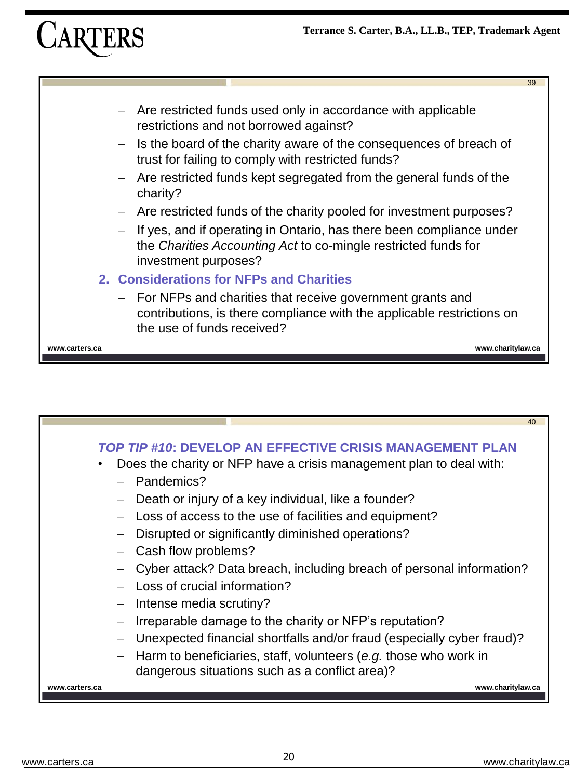

- Are restricted funds used only in accordance with applicable restrictions and not borrowed against?
- − Is the board of the charity aware of the consequences of breach of trust for failing to comply with restricted funds?
- − Are restricted funds kept segregated from the general funds of the charity?
- − Are restricted funds of the charity pooled for investment purposes?
- − If yes, and if operating in Ontario, has there been compliance under the *Charities Accounting Act* to co-mingle restricted funds for investment purposes?

#### **2. Considerations for NFPs and Charities**

− For NFPs and charities that receive government grants and contributions, is there compliance with the applicable restrictions on the use of funds received?

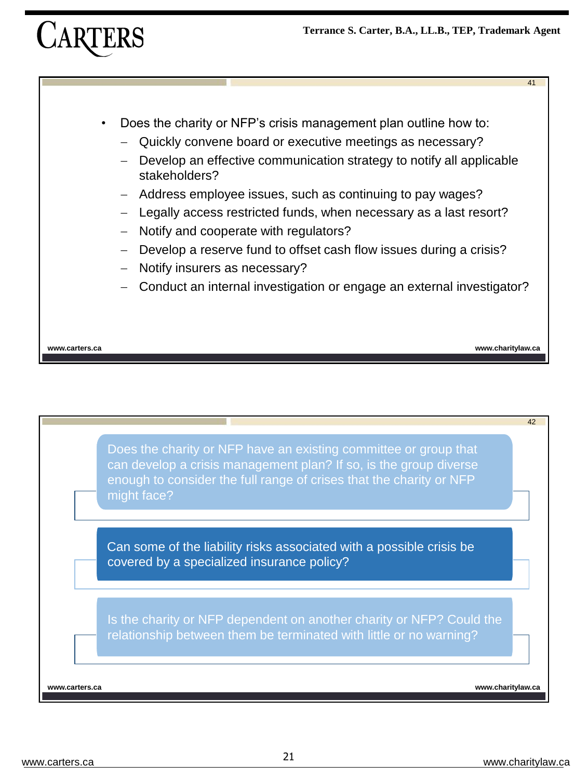

- Does the charity or NFP's crisis management plan outline how to:
	- Quickly convene board or executive meetings as necessary?
	- Develop an effective communication strategy to notify all applicable stakeholders?
	- − Address employee issues, such as continuing to pay wages?
	- Legally access restricted funds, when necessary as a last resort?
	- − Notify and cooperate with regulators?
	- − Develop a reserve fund to offset cash flow issues during a crisis?
	- − Notify insurers as necessary?
	- − Conduct an internal investigation or engage an external investigator?

**www.carters.ca www.charitylaw.ca**